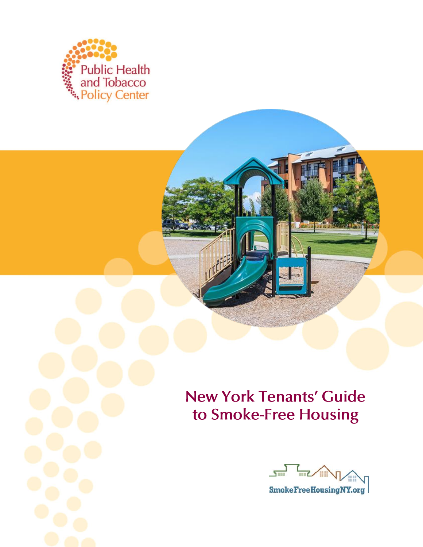

**New York Tenants' Guide** to Smoke-Free Housing

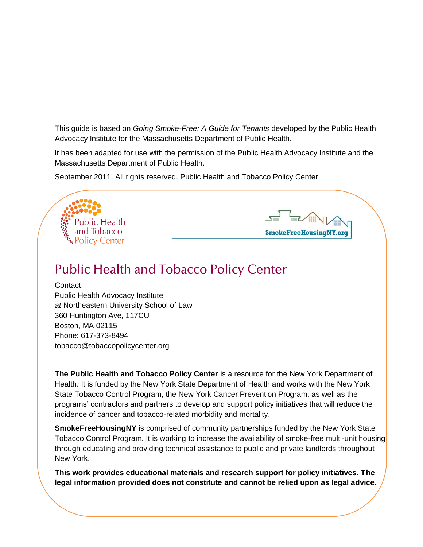This guide is based on *Going Smoke-Free: A Guide for Tenants* developed by the Public Health Advocacy Institute for the Massachusetts Department of Public Health.

It has been adapted for use with the permission of the Public Health Advocacy Institute and the Massachusetts Department of Public Health.

September 2011. All rights reserved. Public Health and Tobacco Policy Center.



 $\Box$ **SmokeFreeHousingNY.org** 

## **Public Health and Tobacco Policy Center**

Contact:

Public Health Advocacy Institute *at* Northeastern University School of Law 360 Huntington Ave, 117CU Boston, MA 02115 Phone: 617-373-8494 tobacco@tobaccopolicycenter.org

**The Public Health and Tobacco Policy Center** is a resource for the New York Department of Health. It is funded by the New York State Department of Health and works with the New York State Tobacco Control Program, the New York Cancer Prevention Program, as well as the programs' contractors and partners to develop and support policy initiatives that will reduce the incidence of cancer and tobacco-related morbidity and mortality.

**SmokeFreeHousingNY** is comprised of community partnerships funded by the New York State Tobacco Control Program. It is working to increase the availability of smoke-free multi-unit housing through educating and providing technical assistance to public and private landlords throughout New York.

**This work provides educational materials and research support for policy initiatives. The legal information provided does not constitute and cannot be relied upon as legal advice.**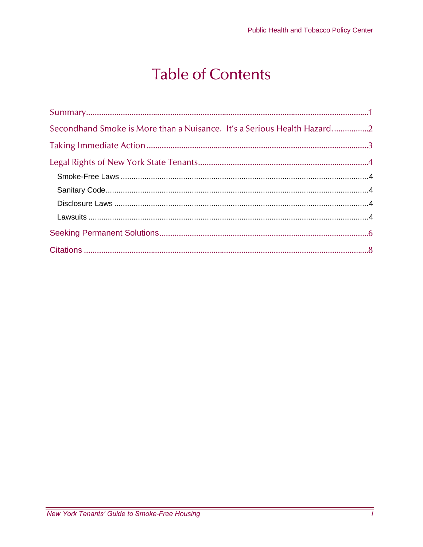# **Table of Contents**

| Secondhand Smoke is More than a Nuisance. It's a Serious Health Hazard2 |  |
|-------------------------------------------------------------------------|--|
|                                                                         |  |
|                                                                         |  |
|                                                                         |  |
|                                                                         |  |
|                                                                         |  |
|                                                                         |  |
|                                                                         |  |
|                                                                         |  |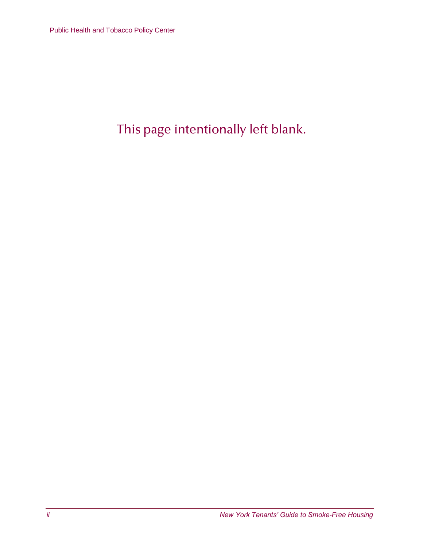# This page intentionally left blank.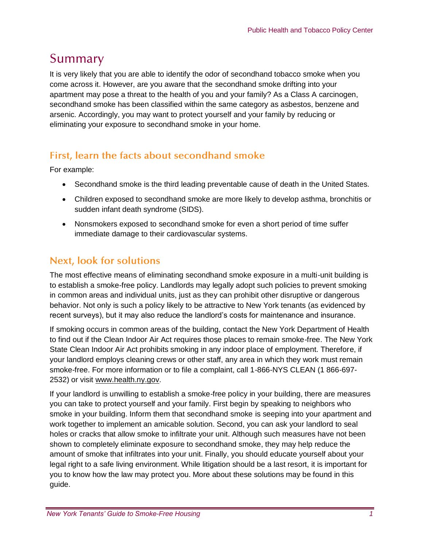## Summary

It is very likely that you are able to identify the odor of secondhand tobacco smoke when you come across it. However, are you aware that the secondhand smoke drifting into your apartment may pose a threat to the health of you and your family? As a Class A carcinogen, secondhand smoke has been classified within the same category as asbestos, benzene and arsenic. Accordingly, you may want to protect yourself and your family by reducing or eliminating your exposure to secondhand smoke in your home.

## First, learn the facts about secondhand smoke

For example:

- Secondhand smoke is the third leading preventable cause of death in the United States.
- Children exposed to secondhand smoke are more likely to develop asthma, bronchitis or sudden infant death syndrome (SIDS).
- Nonsmokers exposed to secondhand smoke for even a short period of time suffer immediate damage to their cardiovascular systems.

### **Next, look for solutions**

The most effective means of eliminating secondhand smoke exposure in a multi-unit building is to establish a smoke-free policy. Landlords may legally adopt such policies to prevent smoking in common areas and individual units, just as they can prohibit other disruptive or dangerous behavior. Not only is such a policy likely to be attractive to New York tenants (as evidenced by recent surveys), but it may also reduce the landlord's costs for maintenance and insurance.

If smoking occurs in common areas of the building, contact the New York Department of Health to find out if the Clean Indoor Air Act requires those places to remain smoke-free. The New York State Clean Indoor Air Act prohibits smoking in any indoor place of employment. Therefore, if your landlord employs cleaning crews or other staff, any area in which they work must remain smoke-free. For more information or to file a complaint, call 1-866-NYS CLEAN (1 866-697- 2532) or visit [www.health.ny.gov.](http://www.health.ny.gov/)

If your landlord is unwilling to establish a smoke-free policy in your building, there are measures you can take to protect yourself and your family. First begin by speaking to neighbors who smoke in your building. Inform them that secondhand smoke is seeping into your apartment and work together to implement an amicable solution. Second, you can ask your landlord to seal holes or cracks that allow smoke to infiltrate your unit. Although such measures have not been shown to completely eliminate exposure to secondhand smoke, they may help reduce the amount of smoke that infiltrates into your unit. Finally, you should educate yourself about your legal right to a safe living environment. While litigation should be a last resort, it is important for you to know how the law may protect you. More about these solutions may be found in this guide.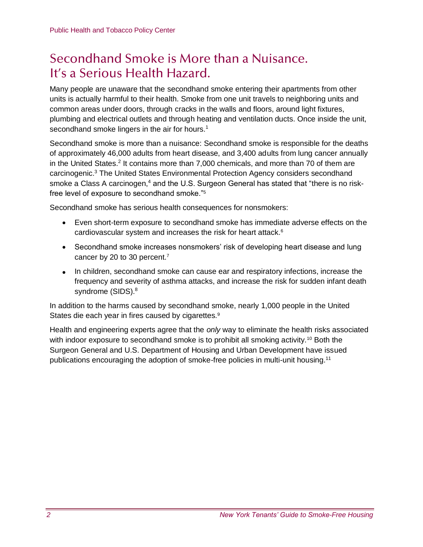## Secondhand Smoke is More than a Nuisance. It's a Serious Health Hazard.

Many people are unaware that the secondhand smoke entering their apartments from other units is actually harmful to their health. Smoke from one unit travels to neighboring units and common areas under doors, through cracks in the walls and floors, around light fixtures, plumbing and electrical outlets and through heating and ventilation ducts. Once inside the unit, secondhand smoke lingers in the air for hours.<sup>1</sup>

<span id="page-5-1"></span>Secondhand smoke is more than a nuisance: Secondhand smoke is responsible for the deaths of approximately 46,000 adults from heart disease, and 3,400 adults from lung cancer annually in the United States.<sup>2</sup> It contains more than 7,000 chemicals, and more than 70 of them are carcinogenic.<sup>3</sup> The United States Environmental Protection Agency considers secondhand smoke a Class A carcinogen,<sup>4</sup> and the U.S. Surgeon General has stated that "there is no riskfree level of exposure to secondhand smoke."<sup>5</sup>

Secondhand smoke has serious health consequences for nonsmokers:

- <span id="page-5-0"></span> Even short-term exposure to secondhand smoke has immediate adverse effects on the cardiovascular system and increases the risk for heart attack.<sup>6</sup>
- Secondhand smoke increases nonsmokers' risk of developing heart disease and lung cancer by 20 to 30 percent.<sup>7</sup>
- In children, secondhand smoke can cause ear and respiratory infections, increase the frequency and severity of asthma attacks, and increase the risk for sudden infant death syndrome (SIDS).<sup>8</sup>

In addition to the harms caused by secondhand smoke, nearly 1,000 people in the United States die each year in fires caused by cigarettes.<sup>9</sup>

Health and engineering experts agree that the *only* way to eliminate the health risks associated with indoor exposure to secondhand smoke is to prohibit all smoking activity.<sup>10</sup> Both the Surgeon General and U.S. Department of Housing and Urban Development have issued publications encouraging the adoption of smoke-free policies in multi-unit housing.<sup>11</sup>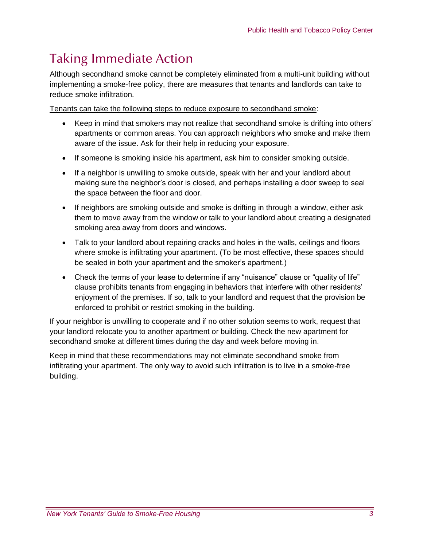## **Taking Immediate Action**

Although secondhand smoke cannot be completely eliminated from a multi-unit building without implementing a smoke-free policy, there are measures that tenants and landlords can take to reduce smoke infiltration.

Tenants can take the following steps to reduce exposure to secondhand smoke:

- Keep in mind that smokers may not realize that secondhand smoke is drifting into others' apartments or common areas. You can approach neighbors who smoke and make them aware of the issue. Ask for their help in reducing your exposure.
- If someone is smoking inside his apartment, ask him to consider smoking outside.
- If a neighbor is unwilling to smoke outside, speak with her and your landlord about making sure the neighbor's door is closed, and perhaps installing a door sweep to seal the space between the floor and door.
- If neighbors are smoking outside and smoke is drifting in through a window, either ask them to move away from the window or talk to your landlord about creating a designated smoking area away from doors and windows.
- Talk to your landlord about repairing cracks and holes in the walls, ceilings and floors where smoke is infiltrating your apartment. (To be most effective, these spaces should be sealed in both your apartment and the smoker's apartment.)
- Check the terms of your lease to determine if any "nuisance" clause or "quality of life" clause prohibits tenants from engaging in behaviors that interfere with other residents' enjoyment of the premises. If so, talk to your landlord and request that the provision be enforced to prohibit or restrict smoking in the building.

If your neighbor is unwilling to cooperate and if no other solution seems to work, request that your landlord relocate you to another apartment or building. Check the new apartment for secondhand smoke at different times during the day and week before moving in.

Keep in mind that these recommendations may not eliminate secondhand smoke from infiltrating your apartment. The only way to avoid such infiltration is to live in a smoke-free building.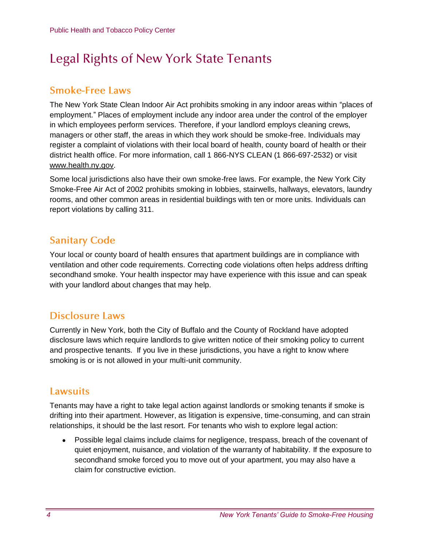## **Legal Rights of New York State Tenants**

### <span id="page-7-0"></span>**Smoke-Free Laws**

The New York State Clean Indoor Air Act prohibits smoking in any indoor areas within "places of employment." Places of employment include any indoor area under the control of the employer in which employees perform services. Therefore, if your landlord employs cleaning crews, managers or other staff, the areas in which they work should be smoke-free. Individuals may register a complaint of violations with their local board of health, county board of health or their district health office. For more information, call 1 866-NYS CLEAN (1 866-697-2532) or visit [www.health.ny.gov.](http://www.health.ny.gov/)

Some local jurisdictions also have their own smoke-free laws. For example, the New York City Smoke-Free Air Act of 2002 prohibits smoking in lobbies, stairwells, hallways, elevators, laundry rooms, and other common areas in residential buildings with ten or more units. Individuals can report violations by calling 311.

### <span id="page-7-1"></span>**Sanitary Code**

Your local or county board of health ensures that apartment buildings are in compliance with ventilation and other code requirements. Correcting code violations often helps address drifting secondhand smoke. Your health inspector may have experience with this issue and can speak with your landlord about changes that may help.

### <span id="page-7-2"></span>**Disclosure Laws**

Currently in New York, both the City of Buffalo and the County of Rockland have adopted disclosure laws which require landlords to give written notice of their smoking policy to current and prospective tenants. If you live in these jurisdictions, you have a right to know where smoking is or is not allowed in your multi-unit community.

### <span id="page-7-3"></span>**Lawsuits**

Tenants may have a right to take legal action against landlords or smoking tenants if smoke is drifting into their apartment. However, as litigation is expensive, time-consuming, and can strain relationships, it should be the last resort. For tenants who wish to explore legal action:

 Possible legal claims include claims for negligence, trespass, breach of the covenant of quiet enjoyment, nuisance, and violation of the warranty of habitability. If the exposure to secondhand smoke forced you to move out of your apartment, you may also have a claim for constructive eviction.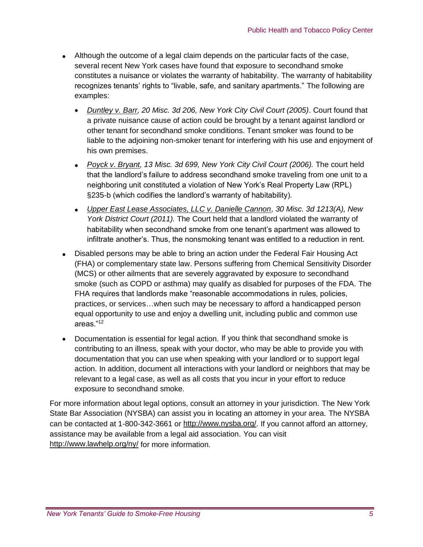- Although the outcome of a legal claim depends on the particular facts of the case, several recent New York cases have found that exposure to secondhand smoke constitutes a nuisance or violates the warranty of habitability. The warranty of habitability recognizes tenants' rights to "livable, safe, and sanitary apartments." The following are examples:
	- *Duntley v. Barr, 20 Misc. 3d 206, New York City Civil Court (2005)*. Court found that a private nuisance cause of action could be brought by a tenant against landlord or other tenant for secondhand smoke conditions. Tenant smoker was found to be liable to the adjoining non-smoker tenant for interfering with his use and enjoyment of his own premises.
	- *Poyck v. Bryant, 13 Misc. 3d 699, New York City Civil Court (2006).* The court held that the landlord's failure to address secondhand smoke traveling from one unit to a neighboring unit constituted a violation of New York's Real Property Law (RPL) §235-b (which codifies the landlord's warranty of habitability).
	- *Upper East Lease Associates, LLC v. Danielle Cannon, 30 Misc. 3d 1213(A), New York District Court (2011).* The Court held that a landlord violated the warranty of habitability when secondhand smoke from one tenant's apartment was allowed to infiltrate another's. Thus, the nonsmoking tenant was entitled to a reduction in rent.
- Disabled persons may be able to bring an action under the Federal Fair Housing Act (FHA) or complementary state law. Persons suffering from Chemical Sensitivity Disorder (MCS) or other ailments that are severely aggravated by exposure to secondhand smoke (such as COPD or asthma) may qualify as disabled for purposes of the FDA. The FHA requires that landlords make "reasonable accommodations in rules, policies, practices, or services…when such may be necessary to afford a handicapped person equal opportunity to use and enjoy a dwelling unit, including public and common use areas."<sup>12</sup>
- Documentation is essential for legal action. If you think that secondhand smoke is contributing to an illness, speak with your doctor, who may be able to provide you with documentation that you can use when speaking with your landlord or to support legal action. In addition, document all interactions with your landlord or neighbors that may be relevant to a legal case, as well as all costs that you incur in your effort to reduce exposure to secondhand smoke.

For more information about legal options, consult an attorney in your jurisdiction. The New York State Bar Association (NYSBA) can assist you in locating an attorney in your area. The NYSBA can be contacted at 1-800-342-3661 or [http://www.nysba.org/.](http://www.nysba.org/) If you cannot afford an attorney, assistance may be available from a legal aid association. You can visit <http://www.lawhelp.org/ny/> for more information.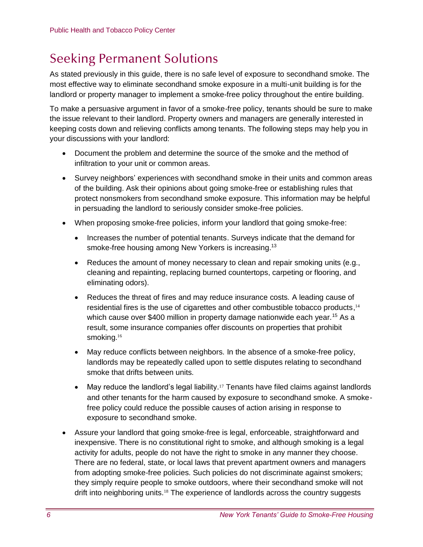## <span id="page-9-0"></span>**Seeking Permanent Solutions**

As stated previously in this guide, there is no safe level of exposure to secondhand smoke. The most effective way to eliminate secondhand smoke exposure in a multi-unit building is for the landlord or property manager to implement a smoke-free policy throughout the entire building.

To make a persuasive argument in favor of a smoke-free policy, tenants should be sure to make the issue relevant to their landlord. Property owners and managers are generally interested in keeping costs down and relieving conflicts among tenants. The following steps may help you in your discussions with your landlord:

- Document the problem and determine the source of the smoke and the method of infiltration to your unit or common areas.
- Survey neighbors' experiences with secondhand smoke in their units and common areas of the building. Ask their opinions about going smoke-free or establishing rules that protect nonsmokers from secondhand smoke exposure. This information may be helpful in persuading the landlord to seriously consider smoke-free policies.
- When proposing smoke-free policies, inform your landlord that going smoke-free:
	- Increases the number of potential tenants. Surveys indicate that the demand for smoke-free housing among New Yorkers is increasing.<sup>13</sup>
	- Reduces the amount of money necessary to clean and repair smoking units (e.g., cleaning and repainting, replacing burned countertops, carpeting or flooring, and eliminating odors).
	- Reduces the threat of fires and may reduce insurance costs. A leading cause of residential fires is the use of cigarettes and other combustible tobacco products, 14 which cause over \$400 million in property damage nationwide each year.<sup>15</sup> As a result, some insurance companies offer discounts on properties that prohibit smoking.<sup>16</sup>
	- May reduce conflicts between neighbors. In the absence of a smoke-free policy, landlords may be repeatedly called upon to settle disputes relating to secondhand smoke that drifts between units.
	- May reduce the landlord's legal liability.<sup>17</sup> Tenants have filed claims against landlords and other tenants for the harm caused by exposure to secondhand smoke. A smokefree policy could reduce the possible causes of action arising in response to exposure to secondhand smoke.
- Assure your landlord that going smoke-free is legal, enforceable, straightforward and inexpensive. There is no constitutional right to smoke, and although smoking is a legal activity for adults, people do not have the right to smoke in any manner they choose. There are no federal, state, or local laws that prevent apartment owners and managers from adopting smoke-free policies. Such policies do not discriminate against smokers; they simply require people to smoke outdoors, where their secondhand smoke will not drift into neighboring units.<sup>18</sup> The experience of landlords across the country suggests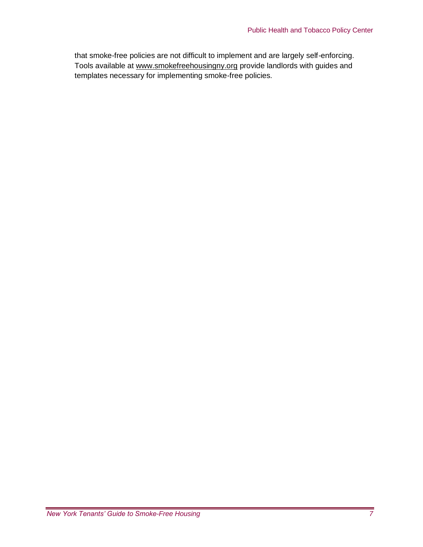that smoke-free policies are not difficult to implement and are largely self-enforcing. Tools available at [www.smokefreehousingny.org](http://www.smokefreehousingny.org/) provide landlords with guides and templates necessary for implementing smoke-free policies.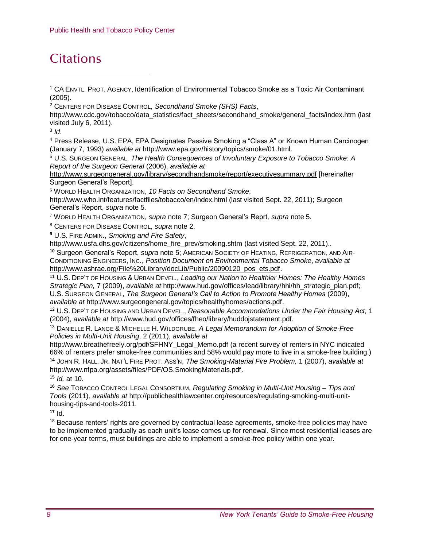## <span id="page-11-0"></span>**Citations**

<sup>1</sup> CA ENVTL. PROT. AGENCY, Identification of Environmental Tobacco Smoke as a Toxic Air Contaminant (2005).

<sup>2</sup> CENTERS FOR DISEASE CONTROL, *Secondhand Smoke (SHS) Facts*,

[http://www.cdc.gov/tobacco/data\\_statistics/fact\\_sheets/secondhand\\_smoke/general\\_facts/index.htm](http://www.cdc.gov/tobacco/data_statistics/fact_sheets/secondhand_smoke/general_facts/index.htm) (last visited July 6, 2011).

3 *Id*.

<sup>4</sup> Press Release, U.S. EPA, EPA Designates Passive Smoking a "Class A" or Known Human Carcinogen (January 7, 1993) *available at* http://www.epa.gov/history/topics/smoke/01.html.

<sup>5</sup> U.S. SURGEON GENERAL, *The Health Consequences of Involuntary Exposure to Tobacco Smoke: A Report of the Surgeon General* (2006), *available at* 

<http://www.surgeongeneral.gov/library/secondhandsmoke/report/executivesummary.pdf> [hereinafter Surgeon General's Report].

<sup>6</sup> WORLD HEALTH ORGANIZATION, *10 Facts on Secondhand Smoke*,

http://www.who.int/features/factfiles/tobacco/en/index.html (last visited Sept. 22, 2011); Surgeon General's Report, *supra* note [5.](#page-5-0)

<sup>7</sup> WORLD HEALTH ORGANIZATION, *supra* note 7; Surgeon General's Reprt*, supra* not[e 5.](#page-5-0)

<sup>8</sup> CENTERS FOR DISEASE CONTROL, *supra* note [2.](#page-5-1)

**<sup>9</sup>** U.S. FIRE ADMIN., *Smoking and Fire Safety*,

http://www.usfa.dhs.gov/citizens/home\_fire\_prev/smoking.shtm (last visited Sept. 22, 2011)..

**<sup>10</sup>** Surgeon General's Report, *supra* note [5;](#page-5-0) AMERICAN SOCIETY OF HEATING, REFRIGERATION, AND AIR-CONDITIONING ENGINEERS, INC., *Position Document on Environmental Tobacco Smoke*, *available at* [http://www.ashrae.org/File%20Library/docLib/Public/20090120\\_pos\\_ets.pdf.](http://www.ashrae.org/File%20Library/docLib/Public/20090120_pos_ets.pdf)

<sup>11</sup> U.S. DEP'T OF HOUSING & URBAN DEVEL., *Leading our Nation to Healthier Homes: The Healthy Homes Strategic Plan,* 7 (2009), *available at* [http://www.hud.gov/offices/lead/library/hhi/hh\\_strategic\\_plan.pdf;](http://www.hud.gov/offices/lead/library/hhi/hh_strategic_plan.pdf) U.S. SURGEON GENERAL, *The Surgeon General's Call to Action to Promote Healthy Homes* (2009), *available at* [http://www.surgeongeneral.gov/topics/healthyhomes/actions.pdf.](http://www.surgeongeneral.gov/topics/healthyhomes/actions.pdf)

<sup>12</sup> U.S. DEP'T OF HOUSING AND URBAN DEVEL., *Reasonable Accommodations Under the Fair Housing Act,* 1 (2004), *available at* [http://www.hud.gov/offices/fheo/library/huddojstatement.pdf.](http://www.hud.gov/offices/fheo/library/huddojstatement.pdf)

<sup>13</sup> DANIELLE R. LANGE & MICHELLE H. WILDGRUBE, *A Legal Memorandum for Adoption of Smoke-Free Policies in Multi-Unit Housing*, 2 (2011), *available at*

[http://www.breathefreely.org/pdf/SFHNY\\_Legal\\_Memo.pdf \(](http://www.breathefreely.org/pdf/SFHNY_Legal_Memo.pdf)a recent survey of renters in NYC indicated 66% of renters prefer smoke-free communities and 58% would pay more to live in a smoke-free building.) **<sup>14</sup>** JOHN R. HALL, JR. NAT'L FIRE PROT. ASS'N, *The Smoking-Material Fire Problem,* 1 (2007), *available at* 

http://www.nfpa.org/assets/files/PDF/OS.SmokingMaterials.pdf. <sup>15</sup> *Id.* at 10.

**<sup>16</sup>** *See* TOBACCO CONTROL LEGAL CONSORTIUM, *Regulating Smoking in Multi-Unit Housing – Tips and Tools* (2011)*, available at* http://publichealthlawcenter.org/resources/regulating-smoking-multi-unithousing-tips-and-tools-2011*.*

**<sup>17</sup>** Id.

<sup>18</sup> Because renters' rights are governed by contractual lease agreements, smoke-free policies may have to be implemented gradually as each unit's lease comes up for renewal. Since most residential leases are for one-year terms, must buildings are able to implement a smoke-free policy within one year.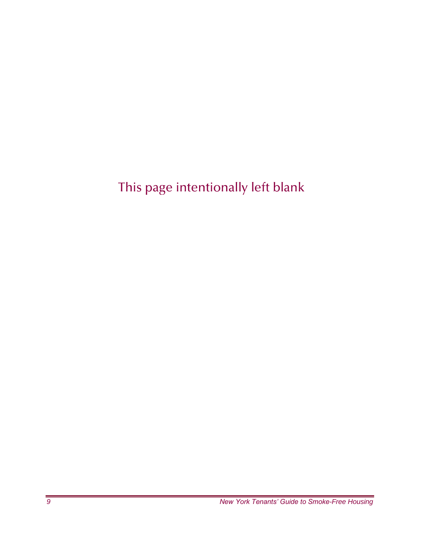This page intentionally left blank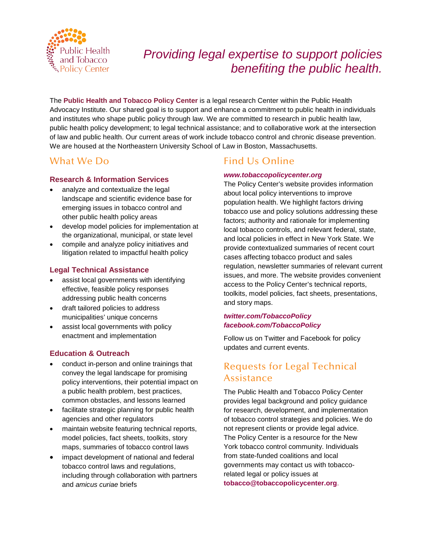

## *Providing legal expertise to support policies benefiting the public health.*

The **Public Health and Tobacco Policy Center** is a legal research Center within the Public Health Advocacy Institute. Our shared goal is to support and enhance a commitment to public health in individuals and institutes who shape public policy through law. We are committed to research in public health law, public health policy development; to legal technical assistance; and to collaborative work at the intersection of law and public health. Our current areas of work include tobacco control and chronic disease prevention. We are housed at the Northeastern University School of Law in Boston, Massachusetts.

#### What We Do

#### **Research & Information Services**

- analyze and contextualize the legal landscape and scientific evidence base for emerging issues in tobacco control and other public health policy areas
- develop model policies for implementation at the organizational, municipal, or state level
- compile and analyze policy initiatives and litigation related to impactful health policy

#### **Legal Technical Assistance**

- assist local governments with identifying effective, feasible policy responses addressing public health concerns
- draft tailored policies to address municipalities' unique concerns
- assist local governments with policy enactment and implementation

#### **Education & Outreach**

- conduct in-person and online trainings that convey the legal landscape for promising policy interventions, their potential impact on a public health problem, best practices, common obstacles, and lessons learned
- facilitate strategic planning for public health agencies and other regulators
- maintain website featuring technical reports, model policies, fact sheets, toolkits, story maps, summaries of tobacco control laws
- impact development of national and federal tobacco control laws and regulations, including through collaboration with partners and *amicus curiae* briefs

### Find Us Online

#### *www.tobaccopolicycenter.org*

The Policy Center's website provides information about local policy interventions to improve population health. We highlight factors driving tobacco use and policy solutions addressing these factors; authority and rationale for implementing local tobacco controls, and relevant federal, state, and local policies in effect in New York State. We provide contextualized summaries of recent court cases affecting tobacco product and sales [regulation, newsletter summ](http://twitter.com/CPHTP)aries of relevant current issues, and more. The website provides convenient access to the Policy Center's technical reports, toolkits, model policies, f[act sheets,](https://www.facebook.com/pages/Center-for-Public-Health-Tobacco-Policy/252513374777925) presentations, and story maps.

#### *twitter.com/TobaccoPolicy facebook.com/TobaccoPolicy*

Follow us on Twitter and Facebook for policy updates and current events.

#### Requests for Legal Technical Assistance

The Public Health and Tobacco Policy Center provides legal background and policy guidance for research, development, and implementation of tobacco control strategies and policies. We do not represent clients or provide legal advice. The Policy Center is a resource for the New York tobacco control community. Individuals from state-funded coalitions and local governments may contact us with tobaccorelated legal or policy issues at **tobacco@tobaccopolicycenter.org**.